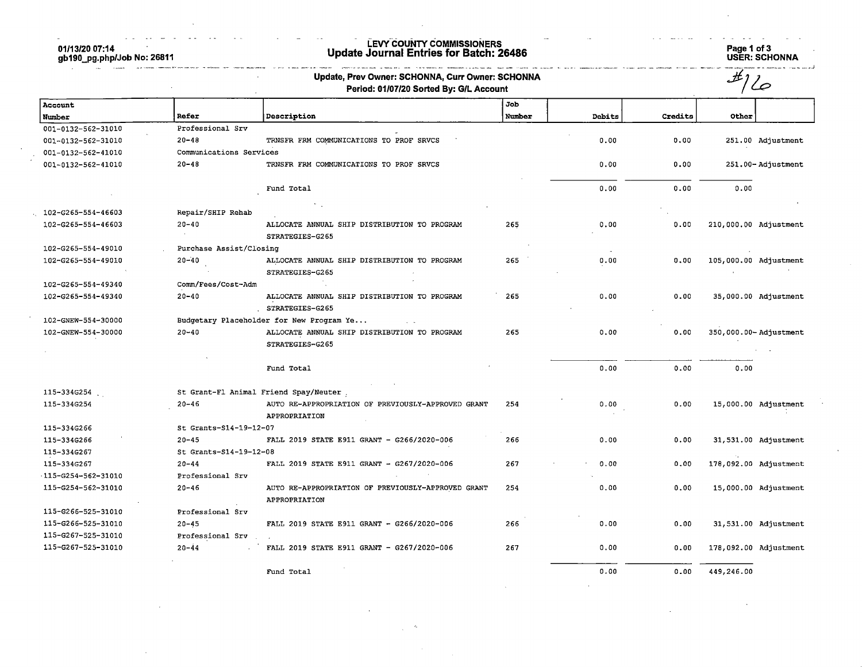01/13/20 07:14 gb190\_pg.php/Job No: 26811

ä,

## LEVY COUNTY COMMISSIONERS Update Journal Entries for Batch: 26486 Page 1 of 3

a and and a

Page 1 of 3<br>USER: SCHONNA

 $\sim 10$ 

 $\sim$   $\sim$   $\sim$   $\sim$ 

|                             |                         | Update, Prev Owner: SCHONNA, Curr Owner: SCHONNA<br>Period: 01/07/20 Sorted By: G/L Account |        |        |         | #                     |
|-----------------------------|-------------------------|---------------------------------------------------------------------------------------------|--------|--------|---------|-----------------------|
| Account                     |                         |                                                                                             | Job    |        |         |                       |
| Number                      | <b>Refer</b>            | Description                                                                                 | Number | Debits | Credits | Other                 |
| 001-0132-562-31010          | Professional Srv        |                                                                                             |        |        |         |                       |
| 001-0132-562-31010          | $20 - 48$               | TRNSFR FRM COMMUNICATIONS TO PROF SRVCS                                                     |        | 0.00   | 0.00    | 251.00 Adjustment     |
| 001-0132-562-41010          | Communications Services |                                                                                             |        |        |         |                       |
| 001-0132-562-41010          | $20 - 48$               | TRNSFR FRM COMMUNICATIONS TO PROF SRVCS                                                     |        | 0.00   | 0.00    | 251.00-Adjustment     |
|                             |                         | Fund Total                                                                                  |        | 0.00   | 0.00    | 0.00                  |
| 102-G265-554-46603          | Repair/SHIP Rehab       |                                                                                             |        |        |         |                       |
| 102-G265-554-46603          | $20 - 40$               | ALLOCATE ANNUAL SHIP DISTRIBUTION TO PROGRAM                                                | 265    | 0.00   | 0.00    | 210,000.00 Adjustment |
|                             |                         | STRATEGIES-G265                                                                             |        |        |         |                       |
| 102-G265-554-49010          | Purchase Assist/Closing |                                                                                             |        |        |         |                       |
| 102-G265-554-49010          | $20 - 40$               | ALLOCATE ANNUAL SHIP DISTRIBUTION TO PROGRAM                                                | 265    | 0.00   | 0.00    | 105,000.00 Adjustment |
|                             |                         | STRATEGIES-G265                                                                             |        |        |         |                       |
| 102-G265-554-49340          | Comm/Fees/Cost-Adm      |                                                                                             |        |        |         |                       |
| 102-G265-554-49340          | $20 - 40$               | ALLOCATE ANNUAL SHIP DISTRIBUTION TO PROGRAM<br>STRATEGIES-G265                             | 265    | 0.00   | 0.00    | 35,000.00 Adjustment  |
| 102-GNEW-554-30000          |                         | Budgetary Placeholder for New Program Ye                                                    |        |        |         |                       |
| 102-GNEW-554-30000          | $20 - 40$               | ALLOCATE ANNUAL SHIP DISTRIBUTION TO PROGRAM<br>STRATEGIES-G265                             | 265    | 0.00   | 0.00    | 350,000.00-Adjustment |
|                             |                         | Fund Total                                                                                  |        | 0.00   | 0.00    | 0.00                  |
| 115-334G254                 |                         | St Grant-Fl Animal Friend Spay/Neuter.                                                      |        |        |         |                       |
| 115-334G254                 | $20 - 46$               | AUTO RE-APPROPRIATION OF PREVIOUSLY-APPROVED GRANT<br>APPROPRIATION                         | 254    | 0.00   | 0.00    | 15,000.00 Adjustment  |
| 115-334G266                 | St Grants-S14-19-12-07  |                                                                                             |        |        |         |                       |
| 115-334G266                 | $20 - 45$               | FALL 2019 STATE E911 GRANT - G266/2020-006                                                  | 266    | 0.00   | 0.00    | 31,531.00 Adjustment  |
| 115-334G267                 | St Grants-S14-19-12-08  |                                                                                             |        |        |         |                       |
| 115-334G267                 | $20 - 44$               | FALL 2019 STATE E911 GRANT - G267/2020-006                                                  | 267    | 0.00   | 0.00    | 178,092.00 Adjustment |
| $-115 - 6254 - 562 - 31010$ | Professional Srv        |                                                                                             |        |        |         |                       |
| 115-G254-562-31010          | $20 - 46$               | AUTO RE-APPROPRIATION OF PREVIOUSLY-APPROVED GRANT<br>APPROPRIATION                         | 254    | 0.00   | 0.00    | 15,000.00 Adjustment  |
| 115-G266-525-31010          | Professional Srv        |                                                                                             |        |        |         |                       |
| 115-G266-525-31010          | $20 - 45$               | FALL 2019 STATE E911 GRANT - G266/2020-006                                                  | 266    | 0.00   | 0.00    | 31,531.00 Adjustment  |
| 115-G267-525-31010          | Professional Srv        |                                                                                             |        |        |         |                       |
| 115-G267-525-31010          | $20 - 44$               | FALL 2019 STATE E911 GRANT - G267/2020-006                                                  | 267    | 0.00   | 0.00    | 178,092.00 Adjustment |
|                             |                         | Fund Total                                                                                  |        | 0.00   | 0.00    | 449,246.00            |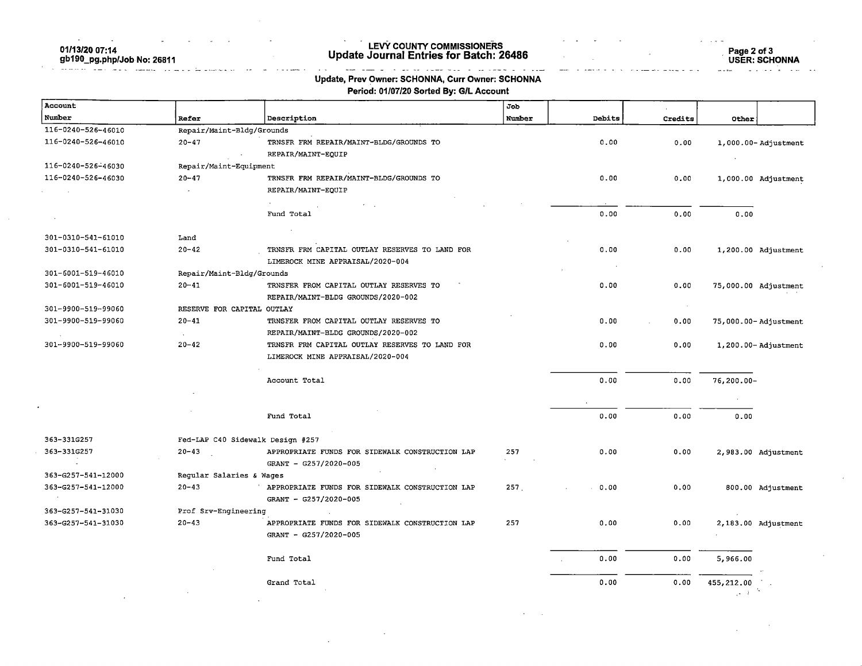01/13/20 07:14

## gb190\_pg.php/Job No: 26811

#### LEVY COUNTY COMMISSIONERS Update Journal Entries for Batch: 26486

Page 2 of 3 USER: SCHONNA

#### and a cross of complete the complete  $\omega$  ,  $\omega$  ,  $\omega$  ,  $\omega$  $\sim$ Update, Prev Owner: SCHONNA, Curr Owner: SCHONNA

Period: 01/07/20 Sorted By: G/L Account

| Account            |                                  |                                                 | Job    |        |         |                                |
|--------------------|----------------------------------|-------------------------------------------------|--------|--------|---------|--------------------------------|
| Number             | Refer                            | Description                                     | Number | Debits | Credits | Other                          |
| 116-0240-526-46010 | Repair/Maint-Bldg/Grounds        |                                                 |        |        |         |                                |
| 116-0240-526-46010 | $20 - 47$                        | TRNSFR FRM REPAIR/MAINT-BLDG/GROUNDS TO         |        | 0.00   | 0.00    | $1,000.00 - \text{Adjustment}$ |
|                    |                                  | REPAIR/MAINT-EQUIP                              |        |        |         |                                |
| 116-0240-526-46030 | Repair/Maint-Equipment           |                                                 |        |        |         |                                |
| 116-0240-526-46030 | $20 - 47$                        | TRNSFR FRM REPAIR/MAINT-BLDG/GROUNDS TO         |        | 0.00   | 0.00    | 1,000.00 Adjustment            |
|                    |                                  | REPAIR/MAINT-EQUIP                              |        |        |         |                                |
|                    |                                  | $\sim$                                          |        |        |         |                                |
|                    |                                  | Fund Total                                      |        | 0.00   | 0.00    | 0.00                           |
|                    |                                  |                                                 |        |        |         |                                |
| 301-0310-541-61010 | Land                             |                                                 |        |        |         |                                |
| 301-0310-541-61010 | $20 - 42$                        | TRNSFR FRM CAPITAL OUTLAY RESERVES TO LAND FOR  |        | 0.00   | 0.00    | 1,200.00 Adjustment            |
|                    |                                  | LIMEROCK MINE APPRAISAL/2020-004                |        |        |         |                                |
| 301-6001-519-46010 | Repair/Maint-Bldg/Grounds        |                                                 |        |        |         |                                |
| 301-6001-519-46010 | $20 - 41$                        | TRNSFER FROM CAPITAL OUTLAY RESERVES TO         |        | 0.00   | 0.00    | 75,000.00 Adjustment           |
|                    |                                  | REPAIR/MAINT-BLDG GROUNDS/2020-002              |        |        |         |                                |
| 301-9900-519-99060 | RESERVE FOR CAPITAL OUTLAY       |                                                 |        |        | $\sim$  |                                |
| 301-9900-519-99060 | $20 - 41$                        | TRNSFER FROM CAPITAL OUTLAY RESERVES TO         |        | 0.00   | 0.00    | 75,000.00-Adjustment           |
|                    |                                  | REPAIR/MAINT-BLDG GROUNDS/2020-002              |        |        |         |                                |
| 301-9900-519-99060 | $20 - 42$                        | TRNSFR FRM CAPITAL OUTLAY RESERVES TO LAND FOR  |        | 0.00   | 0.00    | $1,200.00 -$ Adjustment        |
|                    |                                  | LIMEROCK MINE APPRAISAL/2020-004                |        |        |         |                                |
|                    |                                  |                                                 |        |        |         |                                |
|                    |                                  | Account Total                                   |        | 0.00   | 0.00    | $76, 200.00 -$                 |
|                    |                                  |                                                 |        |        |         | <b>College</b>                 |
|                    |                                  | Fund Total                                      |        | 0.00   | 0.00    | 0.00                           |
|                    |                                  |                                                 |        |        |         |                                |
| 363-331G257        | Fed-LAP C40 Sidewalk Design #257 |                                                 |        |        |         |                                |
| 363-331G257        | $20 - 43$                        | APPROPRIATE FUNDS FOR SIDEWALK CONSTRUCTION LAP | 257    | 0.00   | 0.00    | 2,983.00 Adjustment            |
|                    |                                  | GRANT - G257/2020-005                           |        |        |         |                                |
| 363-G257-541-12000 | Regular Salaries & Wages         |                                                 |        |        |         |                                |
| 363-G257-541-12000 | $20 - 43$                        | APPROPRIATE FUNDS FOR SIDEWALK CONSTRUCTION LAP | 257    | 0.00   | 0.00    | 800.00 Adjustment              |
|                    |                                  | GRANT - G257/2020-005                           |        |        |         |                                |
| 363-G257-541-31030 | Prof Srv-Engineering             |                                                 |        |        |         |                                |
| 363-G257-541-31030 | $20 - 43$                        | APPROPRIATE FUNDS FOR SIDEWALK CONSTRUCTION LAP | 257    | 0.00   | 0.00    | 2,183.00 Adjustment            |
|                    |                                  | GRANT - G257/2020-005                           |        |        |         |                                |
|                    |                                  | Fund Total                                      |        | 0.00   | 0.00    | 5,966.00                       |
|                    |                                  |                                                 |        |        |         |                                |
|                    |                                  | Grand Total                                     |        | 0.00   | 0.00    | 455,212.00                     |
|                    |                                  |                                                 |        |        |         | $\sqrt{s}=2$                   |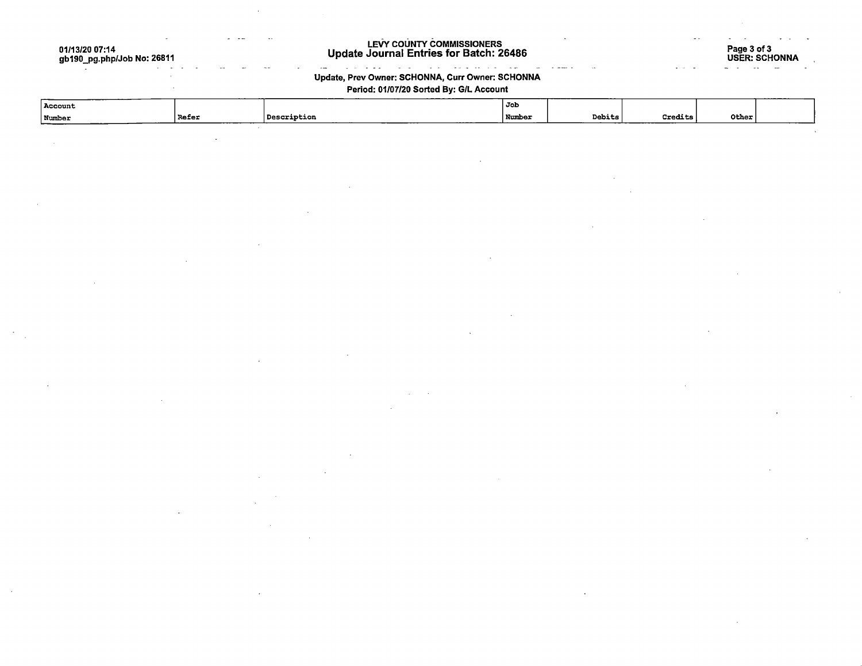01/13/20 07:14 gb190\_pg.php/Job No: 26811

J.

#### LEVY COUNTY COMMISSIONERS Update Journal Entries for Batch: 26486

الفواري الباعات

 $\sim$   $\sim$  $\sim$  Page 3 of 3 USER: SCHONNA

#### $\mathcal{L}^{\mathcal{L}}(\mathcal{L}^{\mathcal{L}})$ Update, Prev Owner: SCHONNA, Curr Owner: SCHONNA

 $\mathbb{Z}^{\mathbb{Z}^2}$ 

 $\omega_{\rm{max}}$ 

 $\ddotsc$ 

#### Period: 01/07/20 Sorted By: G/L Account

| Number<br>l Refer<br>_ | 'Description<br>________ | <b>Number</b> | Debits | ---<br><b>Credits</b> | Other |  |
|------------------------|--------------------------|---------------|--------|-----------------------|-------|--|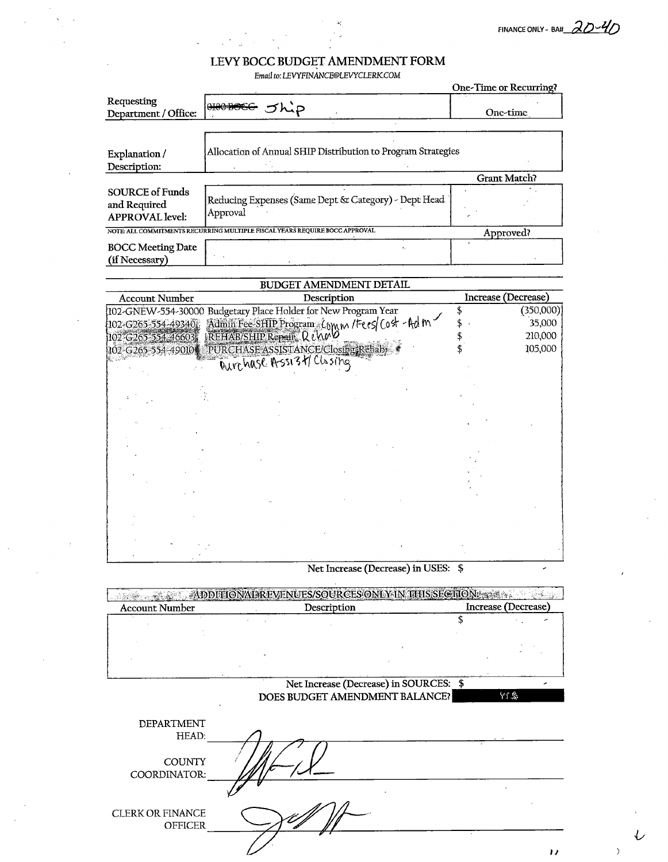Email to: LEVYFINANCE@LEVYCLERK.COM

|                                                                  |                                                                            | One-Time or Recurring? |
|------------------------------------------------------------------|----------------------------------------------------------------------------|------------------------|
| Requesting<br>Department / Office:                               | 0100 BOCC<br>ゞんこつ                                                          | Onc-time               |
|                                                                  | Allocation of Annual SHIP Distribution to Program Strategies               |                        |
| Explanation/                                                     |                                                                            |                        |
| Description:                                                     |                                                                            |                        |
|                                                                  |                                                                            | <b>Grant Match?</b>    |
| <b>SOURCE of Funds</b><br>and Required<br><b>APPROVAL</b> level: | Reducing Expenses (Same Dept & Category) - Dept Head<br>Approval           |                        |
|                                                                  | NOTE ALL COMMITMENTS RECURRING MULTIPLE FISCAL YEARS REQUIRE BOCC APPROVAL | Approved?              |
| <b>BOCC Meeting Date</b><br>(if Necessary)                       |                                                                            |                        |

 $\frac{1}{100}$   $\frac{1}{200}$   $\frac{1}{200}$   $\frac{1}{200}$   $\frac{1}{200}$   $\frac{1}{200}$   $\frac{1}{200}$   $\frac{1}{200}$ 

|                              | BUDGEI AMENDMENI DETAIL                                        |                     |
|------------------------------|----------------------------------------------------------------|---------------------|
| <b>Account Number</b>        | Description                                                    | Increase (Decrease) |
|                              | 102-GNEW-554-30000 Budgetary Place Holder for New Program Year | (350,000)           |
| $(102 - 6265 - 554 - 49340)$ | Admin Fee SHIP Program Comm /Fees/ Cost - Adm                  | 35,000              |
| 102-G265-554-466037          | REHAB/SHIP Repair Rena                                         | 210,000             |
| 102-G265-554-49010           | PURCHASE ASSISTANCE/Closing Rehab-                             | 105,000             |
|                              | Durchase Assi34 Clisting                                       |                     |
|                              |                                                                |                     |
|                              |                                                                |                     |
|                              |                                                                |                     |
|                              |                                                                |                     |
|                              |                                                                |                     |
|                              |                                                                |                     |
|                              |                                                                |                     |
|                              |                                                                |                     |
|                              |                                                                |                     |
|                              |                                                                |                     |
|                              |                                                                |                     |
|                              |                                                                |                     |
|                              |                                                                |                     |
|                              |                                                                |                     |
|                              |                                                                |                     |
|                              |                                                                |                     |

#### Net Increase (Decrease) in USES: \$

**EXAMPLE ON A TABLE VENUES/SOURCES ON VAN THIS SECTION Account Number** Description Increase (Decrease) \$  $\mathbf{r}$ 

#### Net Increase (Decrease) in SOURCES: \$ DOES BUDGET AMENDMENT BALANCE?

DEPARTMENT HEAD: **COUNTY** COORDINATOR: **CLERK OR FINANCE OFFICER** 

 $\overline{)}$ 

 $\overline{L}$ 

YI \$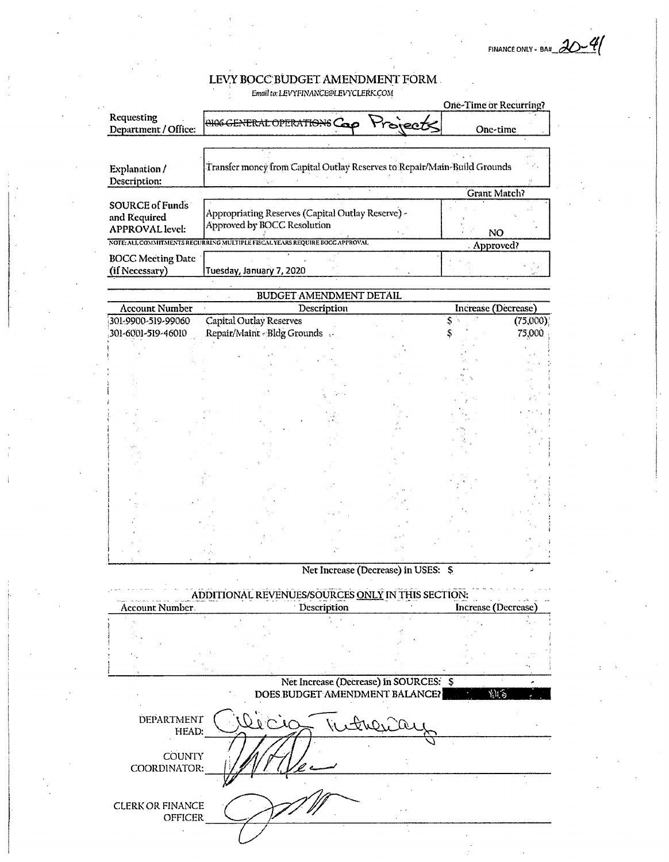FINANCE ONLY - BA#  $20-4$ 

| Department / Office:<br>Explanation /<br>Description:<br><b>SOURCE of Funds</b><br>and Required<br><b>APPROVAL</b> level: | ONOGENERAL OPERATIONS Cap Projects<br>Transfer money from Capital Outlay Reserves to Repair/Main-Build Grounds |                                |                                        | One-time                  |          |
|---------------------------------------------------------------------------------------------------------------------------|----------------------------------------------------------------------------------------------------------------|--------------------------------|----------------------------------------|---------------------------|----------|
|                                                                                                                           |                                                                                                                |                                |                                        |                           |          |
|                                                                                                                           |                                                                                                                |                                |                                        |                           |          |
|                                                                                                                           |                                                                                                                |                                |                                        |                           |          |
|                                                                                                                           |                                                                                                                |                                |                                        |                           |          |
|                                                                                                                           |                                                                                                                |                                |                                        | Grant Match?              |          |
|                                                                                                                           |                                                                                                                |                                |                                        |                           |          |
|                                                                                                                           | Appropriating Reserves (Capital Outlay Reserve) -<br>Approved by BOCC Resolution                               |                                |                                        |                           |          |
|                                                                                                                           | NOTE: ALL COMMITMENTS RECURRING MULTIPLE FISCAL YEARS REQUIRE BOCC APPROVAL                                    |                                |                                        | NO                        |          |
|                                                                                                                           |                                                                                                                |                                |                                        | Approved?                 |          |
| <b>BOCC Meeting Date</b><br>(if Necessary)                                                                                | Tuesday, January 7, 2020                                                                                       |                                |                                        |                           |          |
|                                                                                                                           |                                                                                                                |                                |                                        |                           |          |
|                                                                                                                           |                                                                                                                | <b>BUDGET AMENDMENT DETAIL</b> |                                        |                           |          |
| <b>Account Number</b>                                                                                                     |                                                                                                                | Description                    |                                        | Increase (Decrease)       |          |
| 301-9900-519-99060                                                                                                        | Capital Outlay Reserves                                                                                        |                                |                                        |                           | (75,000) |
| 301-6001-519-46010                                                                                                        | Repair/Maint-Bldg Grounds.                                                                                     |                                |                                        |                           | 75,000   |
|                                                                                                                           |                                                                                                                |                                |                                        |                           |          |
|                                                                                                                           |                                                                                                                |                                |                                        |                           |          |
|                                                                                                                           |                                                                                                                |                                |                                        |                           |          |
|                                                                                                                           |                                                                                                                |                                |                                        |                           |          |
|                                                                                                                           |                                                                                                                |                                |                                        |                           |          |
|                                                                                                                           |                                                                                                                |                                |                                        |                           |          |
|                                                                                                                           |                                                                                                                |                                |                                        |                           |          |
|                                                                                                                           |                                                                                                                |                                |                                        |                           |          |
|                                                                                                                           |                                                                                                                |                                |                                        |                           |          |
|                                                                                                                           |                                                                                                                |                                |                                        |                           |          |
|                                                                                                                           |                                                                                                                |                                |                                        |                           |          |
|                                                                                                                           |                                                                                                                |                                |                                        |                           |          |
|                                                                                                                           |                                                                                                                |                                |                                        |                           |          |
|                                                                                                                           |                                                                                                                |                                |                                        |                           |          |
|                                                                                                                           |                                                                                                                |                                |                                        |                           |          |
|                                                                                                                           |                                                                                                                |                                | Net Increase (Decrease) in USES: \$    |                           | ã        |
|                                                                                                                           |                                                                                                                |                                |                                        |                           |          |
|                                                                                                                           | ADDITIONAL REVENUES/SOURCES ONLY IN THIS SECTION:                                                              |                                |                                        |                           |          |
| Account Number                                                                                                            |                                                                                                                | Description                    |                                        | <b>Increase</b> (Decrease |          |
|                                                                                                                           |                                                                                                                |                                |                                        |                           |          |
|                                                                                                                           |                                                                                                                |                                |                                        |                           |          |
|                                                                                                                           |                                                                                                                |                                |                                        |                           |          |
|                                                                                                                           |                                                                                                                |                                |                                        |                           |          |
|                                                                                                                           |                                                                                                                |                                | Net Increase (Decrease) in SOURCES: \$ |                           |          |
|                                                                                                                           |                                                                                                                |                                | DOES BUDGET AMENDMENT BALANCE?         | 別ら                        |          |
|                                                                                                                           |                                                                                                                |                                |                                        |                           |          |
| DEPARTMENT                                                                                                                |                                                                                                                |                                | Withera                                |                           |          |
| HEAD:                                                                                                                     |                                                                                                                |                                |                                        |                           |          |

**CLERK OR FINANCE** OFFICER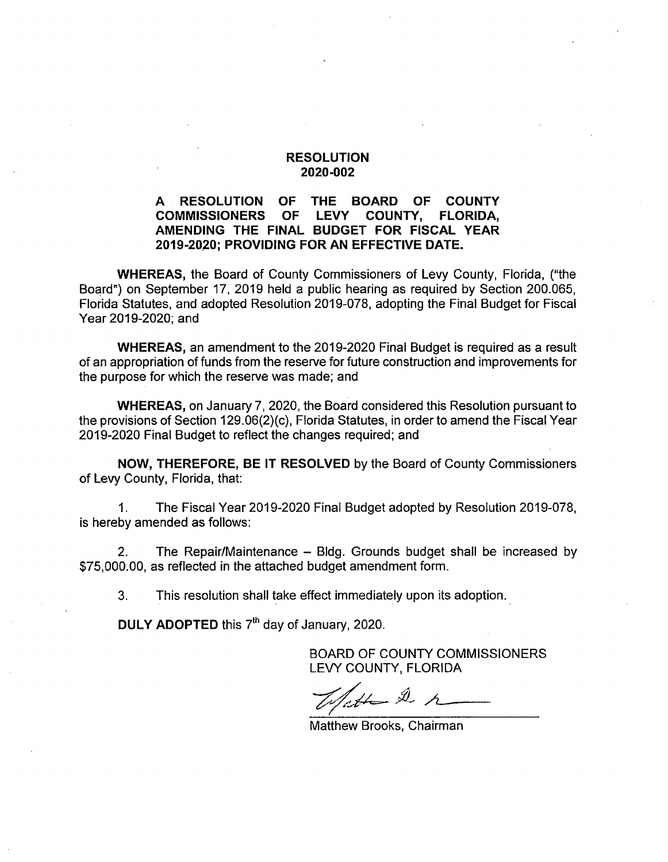#### A RESOLUTION OF THE BOARD OF COUNTY<br>COMMISSIONERS OF LEVY COUNTY. FLORIDA. COMMISSIONERS OF LEVY COUNTY, FLORIDA, AMENDING THE FINAL BUDGET FOR FISCAL YEAR 2019-2020; PROVIDING FOR AN EFFECTIVE DATE.

WHEREAS, the Board of County Commissioners of Levy County, Florida, ("the Board") on September 17, 2019 held a public hearing as required by Section 200.065, Florida Statutes, and adopted Resolution 2019-078, adopting the Final Budget for Fiscal Year 2019-2020; and

WHEREAS, an amendment to the 2019-2020 Final Budget is required as a result of an appropriation of funds from the reserve for future construction and improvements for the purpose for which the reserve was made; and

WHEREAS, on January 7, 2020, the Board considered this Resolution pursuant to the provisions of Section 129.06(2)(c), Florida Statutes, in order to amend the Fiscal Year 2019-2020 Final Budget to reflect the changes required; and

NOW, THEREFORE, BE IT RESOLVED by the Board of County Commissioners of Levy County, Florida, that;

1. The Fiscal Year 2019-2020 Final Budget adopted by Resolution 2019-078, is hereby amended as follows:

2. The Repair/Maintenance – Bldg. Grounds budget shall be increased by \$75,000.00, as reflected in the attached budget amendment form.

3. This resolution shall take effect immediately upon its adoption.

DULY ADOPTED this  $7<sup>th</sup>$  day of January, 2020.

lette 2 r

Matthew Brooks, Chairman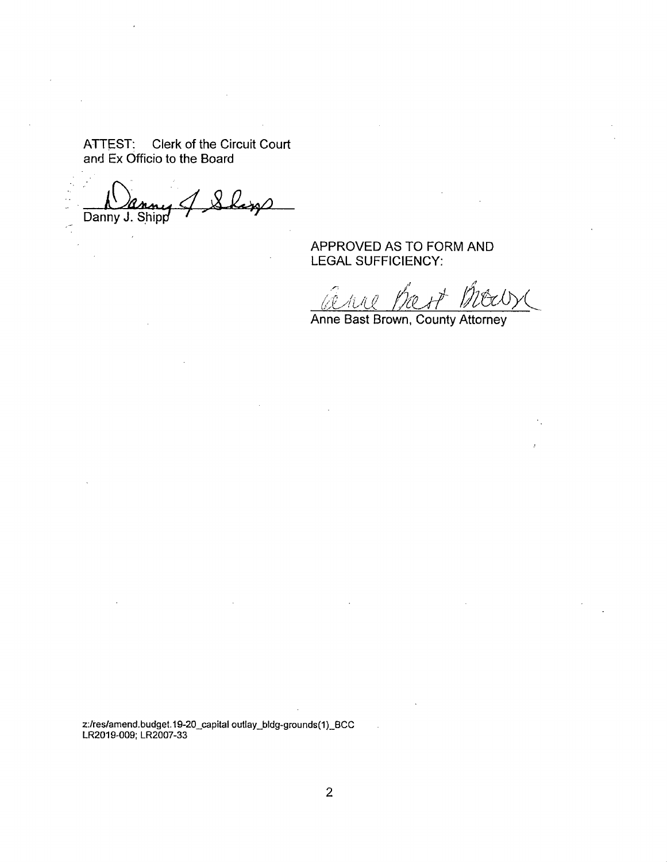Danny J. Shipp

APPROVED AS TO FORM AND LEGAL SUFFICiENCY:

<u>(di hitik</u>

Anne Bast Brown, County Attorney

z:/res/amend.budget.19-20\_capital outlay\_bldg-grounds(1)\_BCC LR2019-009; LR2007-33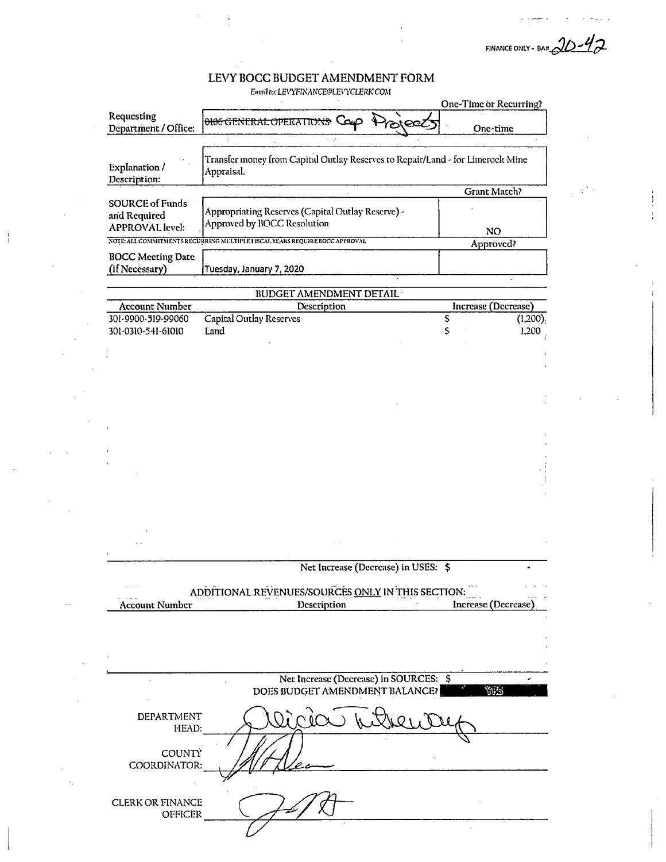FINANCE ONLY - BAR  $20 - 42$ 

Email to: LEVYFINANCE@LEVYCLERK.COM

|                                                                  |                                                                                              | One-Time or Recurring? |         |
|------------------------------------------------------------------|----------------------------------------------------------------------------------------------|------------------------|---------|
| Requesting<br>Department / Office:                               | <b>ONOGENERAL OPERATIONS Cap Project</b>                                                     | One-time               |         |
|                                                                  |                                                                                              |                        |         |
| Explanation /<br>Description:                                    | Transfer money from Capital Outlay Reserves to Repair/Land - for Limerock Mine<br>Appraisal. |                        |         |
|                                                                  |                                                                                              | <b>Grant Match?</b>    |         |
| <b>SOURCE of Funds</b><br>and Required<br><b>APPROVAL</b> level: | Appropriating Reserves (Capital Outlay Reserve) -<br>Approved by BOCC Resolution             |                        |         |
|                                                                  | NOTE ALL COMMITMENTS REGURRING MULTIPLE FISCAL YEARS REQUIRE BOCC APPROVAL                   | <b>NO</b>              |         |
|                                                                  |                                                                                              | Approved?              |         |
| <b>BOCC Meeting Date</b><br>(if Necessary)                       | Tuesday, January 7, 2020                                                                     |                        |         |
|                                                                  | <b>BUDGET AMENDMENT DETAIL</b>                                                               |                        |         |
|                                                                  |                                                                                              | Increase (Decrease)    |         |
| <b>Account Number</b>                                            | Description                                                                                  |                        |         |
| 301-9900-519-99060                                               | <b>Capital Outlay Reserves</b>                                                               | \$                     | (1,200) |
| 301-0310-541-61010                                               | Land                                                                                         | Ş                      | 1,200   |
|                                                                  |                                                                                              |                        |         |
|                                                                  |                                                                                              |                        |         |
|                                                                  |                                                                                              |                        |         |
|                                                                  |                                                                                              |                        |         |
|                                                                  |                                                                                              |                        |         |
|                                                                  |                                                                                              |                        |         |
|                                                                  |                                                                                              |                        |         |
|                                                                  |                                                                                              |                        |         |
|                                                                  |                                                                                              |                        |         |
|                                                                  |                                                                                              |                        |         |
|                                                                  |                                                                                              |                        |         |
|                                                                  |                                                                                              |                        |         |
|                                                                  |                                                                                              |                        |         |
|                                                                  |                                                                                              |                        |         |
|                                                                  |                                                                                              |                        |         |
|                                                                  |                                                                                              |                        |         |
|                                                                  |                                                                                              |                        |         |
|                                                                  |                                                                                              |                        |         |
|                                                                  | Net Increase (Decrease) in USES: \$                                                          |                        |         |
|                                                                  |                                                                                              |                        |         |
|                                                                  | ADDITIONAL REVENUES/SOURCES ONLY IN THIS SECTION:                                            |                        |         |
| <b>Account Number</b>                                            | Description                                                                                  | Increase (Decrease)    |         |
|                                                                  |                                                                                              |                        |         |
|                                                                  |                                                                                              |                        |         |
|                                                                  |                                                                                              |                        |         |
|                                                                  |                                                                                              |                        |         |
|                                                                  |                                                                                              |                        |         |
|                                                                  | Net Increase (Decrease) in SOURCES: \$                                                       |                        |         |
|                                                                  | DOES BUDGET AMENDMENT BALANCE?                                                               | YFS                    |         |
| DEPARTMENT                                                       | $\lambda$ ( $\Omega$ )                                                                       |                        |         |
| HEAD:                                                            |                                                                                              |                        |         |
| <b>COUNTY</b><br>COORDINATOR:                                    |                                                                                              |                        |         |
|                                                                  |                                                                                              |                        |         |

7 K

 $\ddot{\phantom{a}}$ 

 $\hat{\mathcal{L}}$ 

CLERK OR FINANCE OFFICER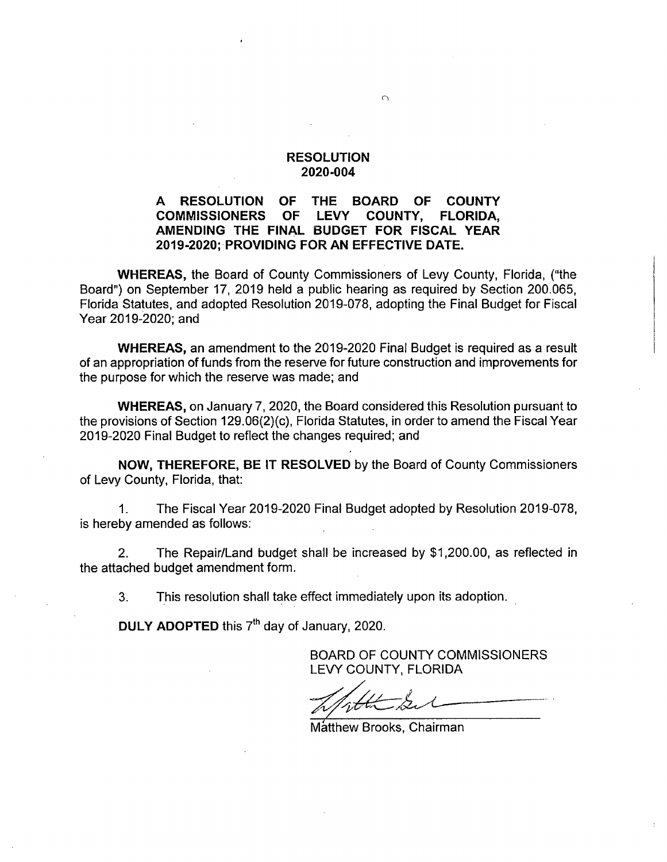#### A RESOLUTION OF THE BOARD OF COUNTY<br>COMMISSIONERS OF LEVY COUNTY, FLORIDA. COMMISSIONERS OF AMENDING THE FINAL BUDGET FOR FISCAL YEAR 2019-2020; PROVIDING FOR AN EFFECTIVE DATE.

WHEREAS, the Board of County Commissioners of Levy County, Florida, ("the Board") on September 17, 2019 held a public hearing as required by Section 200.065, Florida Statutes, and adopted Resolution 2019-078, adopting the Final Budget for Fiscal Year 2019-2020; and

WHEREAS, an amendment to the 2019-2020 Final Budget is required as a result of an appropriation of funds from the reserve for future construction and improvements for the purpose for which the reserve was made; and

WHEREAS, on January 7, 2020, the Board considered this Resolution pursuant to the provisions of Section 129.06(2)(c), Florida Statutes, in order to amend the Fiscal Year 2019-2020 Final Budget to reflect the changes required; and

NOW, THEREFORE, BE IT RESOLVED by the Board of County Commissioners of Levy County, Florida, that:

1. The Fiscal Year 2019-2020 Final Budget adopted by Resolution 2019-078, is hereby amended as follows:

2. The Repair/Land budget shall be increased by \$1,200.00, as reflected in the attached budget amendment form.

3. This resolution shall take effect immediately upon its adoption.

DULY ADOPTED this 7<sup>th</sup> day of January, 2020.

Matthew Brooks, Chairman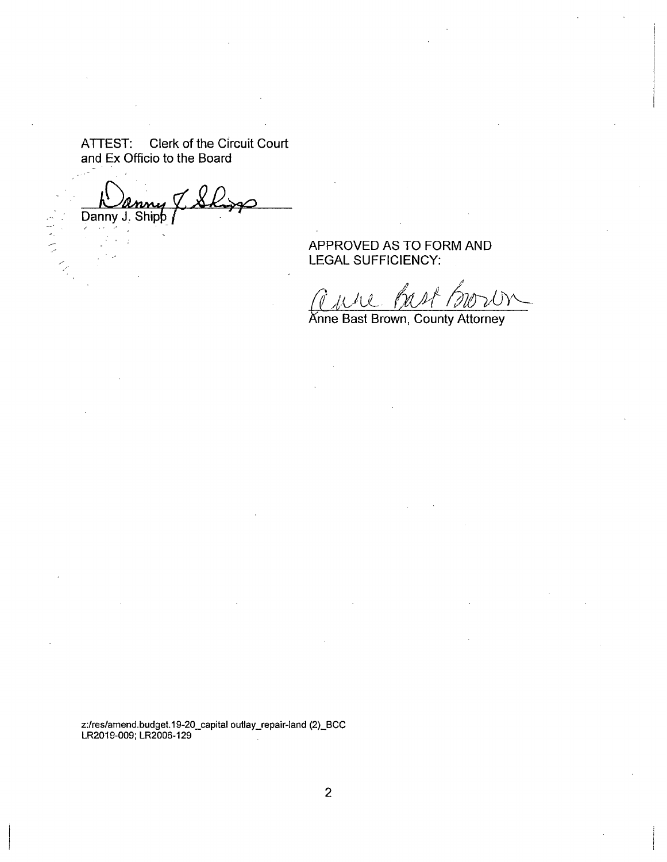Danny J. Shipp

WART.

APPROVED AS TO FORM AND LEGAL SUFFICIENCY:

J

Anne Bast Brown, County Attorney

z:/res/amend.budget.19-20\_capital outlay\_repair-land (2)\_BCC LR2019-009; LR2006-129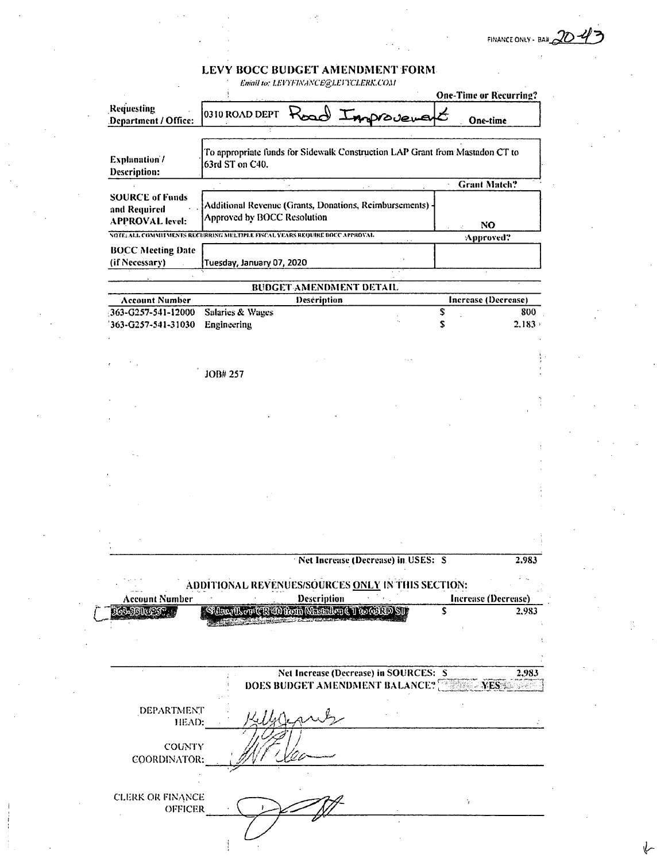FINANCE ONLY - BAH

# LEVY BOCC BUDGET AMENDMENT FORMERATION EDGE ENTERTAINMENT CONTRACTOR

|                                                                  |                                                                                                 |                                        |                                    | <b>One-Time or Recurring?</b>               |                     |
|------------------------------------------------------------------|-------------------------------------------------------------------------------------------------|----------------------------------------|------------------------------------|---------------------------------------------|---------------------|
| Requesting<br>Department / Office:                               | 0310 ROAD DEPT                                                                                  | Road Improvement                       |                                    | One-time                                    |                     |
|                                                                  |                                                                                                 |                                        |                                    |                                             |                     |
| <b>Explanation/</b><br>Description:                              | To appropriate funds for Sidewalk Construction LAP Grant from Mastadon CT to<br>63rd ST on C40. |                                        |                                    |                                             |                     |
|                                                                  |                                                                                                 |                                        |                                    | <b>Grant Match?</b><br>$\tilde{\mathbf{r}}$ |                     |
| <b>SOURCE of Funds</b><br>and Required<br><b>APPROVAL</b> level: | Additional Revenue (Grants, Donations, Reimbursements) -<br>Approved by BOCC Resolution         |                                        |                                    |                                             |                     |
|                                                                  | NOTE: ALL COMMITMENTS RECURRING MULTIPLE FISCAL YEARS REQUIRE BOCC AFFROVAL                     |                                        |                                    | N <sub>O</sub>                              |                     |
|                                                                  |                                                                                                 |                                        |                                    | Approved?                                   |                     |
| <b>BOCC Meeting Date</b><br>(if Necessary)                       | Tuesday, January 07, 2020                                                                       |                                        |                                    |                                             |                     |
|                                                                  |                                                                                                 | <b>BUDGET AMENDMENT DETAIL</b>         |                                    |                                             |                     |
| <b>Account Number</b>                                            |                                                                                                 | Description                            |                                    | Increase (Decrease)                         |                     |
| 363-G257-541-12000                                               | <b>Salaries &amp; Wages</b>                                                                     |                                        |                                    | \$                                          | 800                 |
| 363-G257-541-31030                                               | Engineering                                                                                     |                                        |                                    | S                                           | $2.183 +$           |
|                                                                  |                                                                                                 |                                        |                                    |                                             |                     |
|                                                                  |                                                                                                 |                                        |                                    |                                             |                     |
|                                                                  | JOB# 257                                                                                        |                                        |                                    |                                             |                     |
|                                                                  |                                                                                                 |                                        |                                    |                                             |                     |
|                                                                  |                                                                                                 |                                        |                                    |                                             |                     |
|                                                                  |                                                                                                 |                                        |                                    |                                             |                     |
|                                                                  |                                                                                                 |                                        |                                    |                                             |                     |
|                                                                  |                                                                                                 |                                        |                                    |                                             |                     |
|                                                                  |                                                                                                 |                                        |                                    |                                             |                     |
|                                                                  |                                                                                                 |                                        |                                    |                                             |                     |
|                                                                  |                                                                                                 |                                        |                                    |                                             |                     |
|                                                                  |                                                                                                 |                                        |                                    |                                             |                     |
|                                                                  |                                                                                                 |                                        |                                    |                                             |                     |
|                                                                  |                                                                                                 |                                        |                                    |                                             |                     |
|                                                                  |                                                                                                 |                                        |                                    |                                             |                     |
|                                                                  |                                                                                                 |                                        |                                    |                                             |                     |
|                                                                  |                                                                                                 |                                        | Net Increase (Decrease) in USES: S |                                             | 2.983               |
|                                                                  |                                                                                                 |                                        |                                    |                                             |                     |
|                                                                  | ADDITIONAL REVENUES/SOURCES ONLY IN THIS SECTION:                                               |                                        |                                    |                                             |                     |
| <b>Account Number</b>                                            |                                                                                                 | Description                            |                                    |                                             | Increase (Decrease) |
| <b>MALABINEST</b>                                                | Sider User (CR 40 Rem Nistaden (T to 69 RD SU                                                   |                                        |                                    | S                                           | 2,983               |
|                                                                  |                                                                                                 |                                        |                                    |                                             |                     |
|                                                                  |                                                                                                 |                                        |                                    |                                             |                     |
|                                                                  |                                                                                                 |                                        |                                    |                                             |                     |
|                                                                  |                                                                                                 | Net Increase (Decrease) in SOURCES: S  |                                    |                                             | 2,983               |
|                                                                  |                                                                                                 | DOES BUDGET AMENDMENT BALANCE? WESSELF |                                    |                                             |                     |
| <b>DEPARTMENT</b>                                                |                                                                                                 |                                        |                                    |                                             |                     |
| HEAD:                                                            |                                                                                                 |                                        |                                    |                                             |                     |
|                                                                  |                                                                                                 |                                        |                                    |                                             |                     |
| <b>COUNTY</b>                                                    |                                                                                                 |                                        |                                    |                                             |                     |
| COORDINATOR:                                                     |                                                                                                 |                                        |                                    |                                             |                     |
|                                                                  |                                                                                                 |                                        |                                    |                                             |                     |
|                                                                  |                                                                                                 |                                        |                                    |                                             |                     |
| <b>CLERK OR FINANCE</b>                                          |                                                                                                 |                                        |                                    | Ŷ.                                          |                     |
| <b>OFFICER</b>                                                   |                                                                                                 |                                        |                                    |                                             |                     |
|                                                                  |                                                                                                 |                                        |                                    |                                             |                     |
|                                                                  |                                                                                                 |                                        |                                    |                                             |                     |
|                                                                  |                                                                                                 |                                        |                                    |                                             |                     |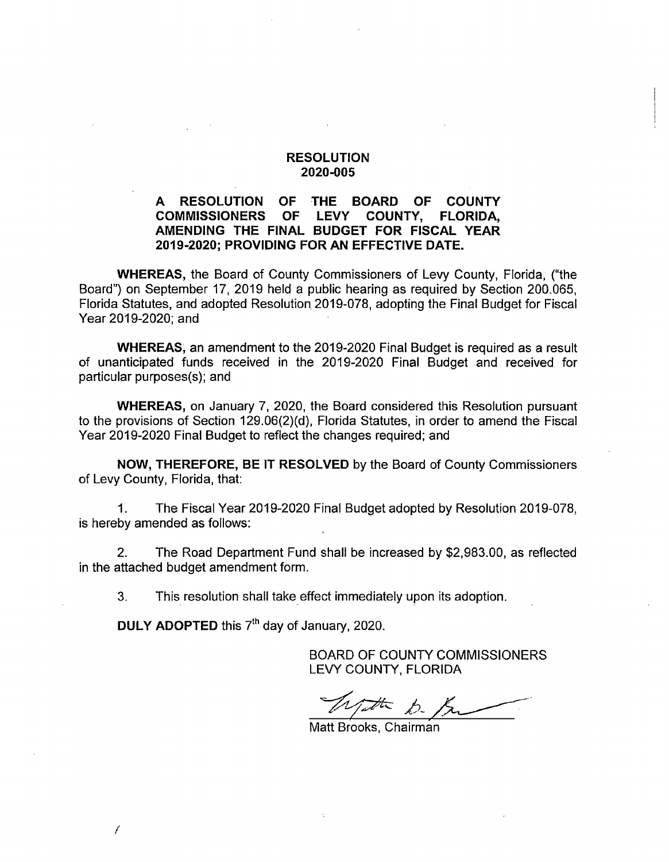#### A RESOLUTION OF THE BOARD OF COUNTY<br>COMMISSIONERS OF LEVY COUNTY, FLORIDA, **COMMISSIONERS** AMENDING THE FINAL BUDGET FOR FISCAL YEAR 2019-2020; PROVIDING FOR AN EFFECTIVE DATE.

WHEREAS, the Board of County Commissioners of Levy County, Florida, ("the Board") on September 17, 2019 held a public hearing as required by Section 200.065, Florida Statutes, and adopted Resolution 2019-078, adopting the Final Budget for Fiscal Year 2019-2020; and

WHEREAS, an amendment to the 2019-2020 Final Budget is required as a result of unanticipated funds received in the 2019-2020 Final Budget and received for particular purposes(s); and

WHEREAS, on January 7, 2020, the Board considered this Resolution pursuant to the provisions of Section 129.06(2)(d), Florida Statutes, in order to amend the Fiscal Year 2019-2020 Final Budget to reflect the changes required; and

NOW, THEREFORE, BE IT RESOLVED by the Board of County Commissioners of Levy County, Florida, that:

1. The Fiscal Year 2019-2020 Final Budget adopted by Resolution 2019-078, is hereby amended as follows:

2. The Road Department Fund shall be increased by \$2,983.00, as reflected in the attached budget amendment form.

3. This resolution shall take effect immediately upon its adoption.

DULY ADOPTED this  $7<sup>th</sup>$  day of January, 2020.

Matt Brooks, Chairman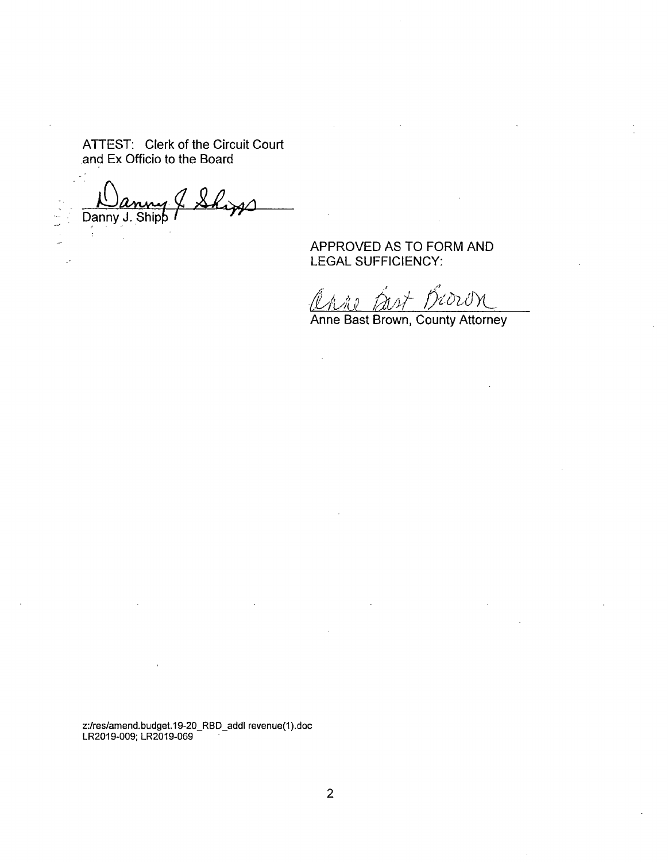Danny J. Ship

APPROVED AS TO FORM AND LEGAL SUFFICIENCY:

Hord N

 $\mathcal{L}$ 

Anne Bast Brown, County Attorney

z:/res/amend.budget.19-20\_RBD\_addl revenue(1).doc LR2019-009; LR2019-069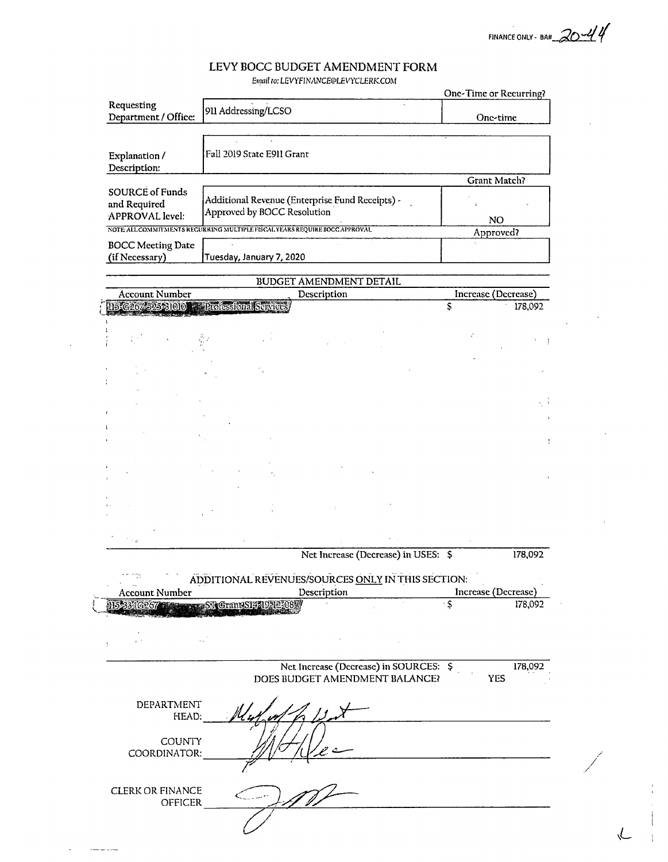$20 - 44$ FINANCE ONLY - 8A#\_

/

 $\sim$   $\sim$ 

 $\mathcal{L}$ 

 $\mathcal{L}$ 

#### LEVY BOCC BUDGET AMENDMENT FORM

Email to: LEVYEIN ANCE@LEVYCLERK.COM

|                                            |                                                                                |                         |                                                                          |                              | <b>One-Time or Recurring?</b> |
|--------------------------------------------|--------------------------------------------------------------------------------|-------------------------|--------------------------------------------------------------------------|------------------------------|-------------------------------|
| Requesting<br>Department / Office:         | 911 Addressing/LCSO                                                            |                         |                                                                          |                              | One-time                      |
| Explanation /<br>Description:              | Fall 2019 State E911 Grant                                                     |                         |                                                                          |                              |                               |
| <b>SOURCE of Funds</b>                     |                                                                                |                         |                                                                          |                              | Grant Match?                  |
| and Required<br>APPROVAL level:            | Additional Revenue (Enterprise Fund Receipts) -<br>Approved by BOCC Resolution |                         |                                                                          |                              | NO                            |
|                                            | NOTE ALL COMMITMENTS RECURRING MULTIPLE FISCAL YEARS REQUIRE BOCC APPROVAL     |                         |                                                                          |                              | Approved?                     |
| <b>BOCC Meeting Date</b><br>(if Necessary) | Tuesday, January 7, 2020                                                       |                         |                                                                          |                              |                               |
|                                            |                                                                                | BUDGET AMENDMENT DETAIL |                                                                          |                              |                               |
| <b>Account Number</b>                      |                                                                                | Description             |                                                                          |                              | Increase (Decrease)           |
| 115-G267-525-31010 - Professional Services |                                                                                |                         |                                                                          | \$                           | 178,092                       |
|                                            |                                                                                |                         |                                                                          | $\epsilon_{\perp}^2$ .       |                               |
|                                            |                                                                                |                         |                                                                          |                              |                               |
|                                            |                                                                                |                         |                                                                          |                              |                               |
|                                            |                                                                                |                         |                                                                          |                              |                               |
|                                            |                                                                                |                         |                                                                          |                              |                               |
|                                            |                                                                                |                         |                                                                          |                              |                               |
|                                            |                                                                                |                         |                                                                          |                              |                               |
|                                            |                                                                                |                         |                                                                          |                              |                               |
|                                            |                                                                                |                         |                                                                          |                              |                               |
| $^{\prime}$ $\times$ $_{\rm d}$            |                                                                                |                         |                                                                          |                              |                               |
|                                            |                                                                                |                         | Net Increase (Decrease) in USES: \$                                      |                              | 178,092                       |
|                                            | ADDITIONAL REVENUES/SOURCES ONLY IN THIS SECTION:                              |                         |                                                                          |                              |                               |
| <b>Account Number</b>                      |                                                                                | Description             |                                                                          | $\overline{\cdot \varsigma}$ | Increase (Decrease)           |
|                                            | 115-334 G2674 Street Street Street 14519-12-08                                 |                         |                                                                          |                              | 178,092                       |
|                                            |                                                                                |                         |                                                                          |                              |                               |
|                                            |                                                                                |                         | Net Increase (Decrease) in SOURCES: \$<br>DOES BUDGET AMENDMENT BALANCE? |                              | 178,092<br>YES                |
| DEPARTMENT<br>HEAD:                        |                                                                                |                         |                                                                          |                              |                               |
| <b>COUNTY</b><br>COORDINATOR:              |                                                                                |                         |                                                                          |                              |                               |
|                                            |                                                                                |                         |                                                                          |                              |                               |
| <b>CLERK OR FINANCE</b><br>OFFICER         |                                                                                |                         |                                                                          |                              |                               |

 $\bar{\mathcal{A}}$ 

 $\hat{\mathbf{a}}$ 

 $\label{eq:1} \begin{aligned} \mathcal{L}_{\mathcal{A}}(\mathcal{A}) = \mathcal{L}_{\mathcal{A}}(\mathcal{A}) = \mathcal{L}_{\mathcal{A}}(\mathcal{A}) = \mathcal{L}_{\mathcal{A}}(\mathcal{A}) = \mathcal{L}_{\mathcal{A}}(\mathcal{A}) = \mathcal{L}_{\mathcal{A}}(\mathcal{A}) = \mathcal{L}_{\mathcal{A}}(\mathcal{A}) = \mathcal{L}_{\mathcal{A}}(\mathcal{A}) = \mathcal{L}_{\mathcal{A}}(\mathcal{A}) = \mathcal{L}_{\mathcal{A}}(\mathcal{A}) = \mathcal{L}_{\mathcal{A}}(\mathcal{A})$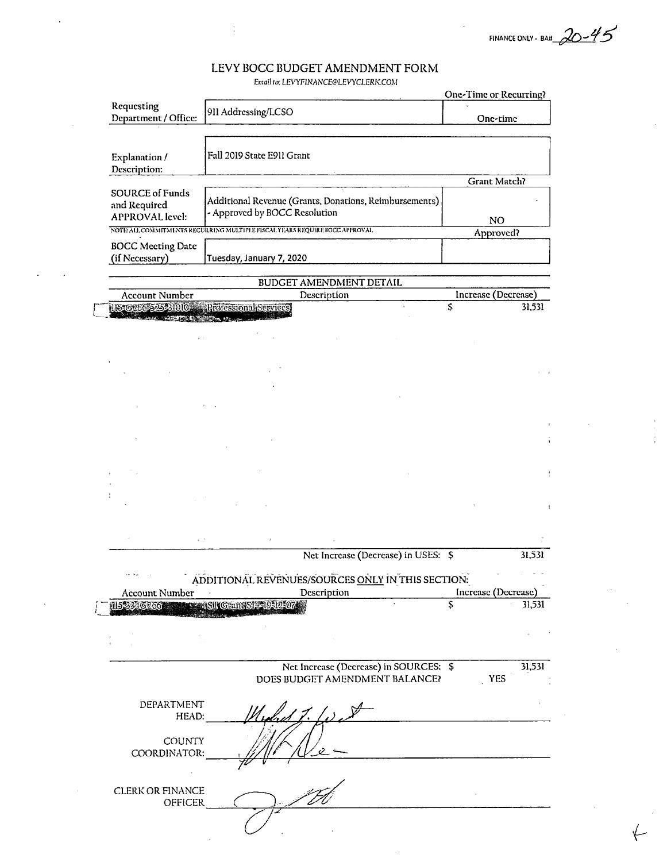FINANCE ONLY - BAH  $20 - 45$ 

l,

Email to: LEVYFINANCE@LEVYCLERK.COM

|                                                                             |                                                                                         | EMAIL 10, LEV I FINANCEC LEV I CLERK.COM                                 |    | One-Time or Recurring? |
|-----------------------------------------------------------------------------|-----------------------------------------------------------------------------------------|--------------------------------------------------------------------------|----|------------------------|
| Requesting<br>Department / Office:                                          | 911 Addressing/LCSO                                                                     |                                                                          |    | One-time               |
| Explanation /<br>Description:                                               | Fall 2019 State E911 Grant                                                              |                                                                          |    |                        |
|                                                                             |                                                                                         |                                                                          |    | Grant Match?           |
| <b>SOURCE of Funds</b><br>and Required<br><b>APPROVAL</b> level:            | Additional Revenue (Grants, Donations, Reimbursements)<br>- Approved by BOCC Resolution |                                                                          |    | NO.                    |
| NOTE ALL COMMITMENTS RECURRING MULTIPLE FISCAL YEARS REQUIRE BOCC APPROVAL. |                                                                                         |                                                                          |    | Approved?              |
| <b>BOCC Meeting Date</b><br>(if Necessary)                                  | Tuesday, January 7, 2020                                                                |                                                                          |    |                        |
|                                                                             |                                                                                         | BUDGET AMENDMENT DETAIL                                                  |    |                        |
| <b>Account Number</b>                                                       |                                                                                         | Description                                                              |    | Increase (Decrease)    |
| 11536266525-31010 Professional Services                                     |                                                                                         |                                                                          |    | 31,531                 |
|                                                                             |                                                                                         |                                                                          |    |                        |
|                                                                             |                                                                                         |                                                                          |    |                        |
|                                                                             |                                                                                         |                                                                          |    |                        |
|                                                                             |                                                                                         |                                                                          |    |                        |
|                                                                             |                                                                                         |                                                                          |    |                        |
|                                                                             |                                                                                         |                                                                          |    |                        |
|                                                                             |                                                                                         |                                                                          |    |                        |
|                                                                             |                                                                                         |                                                                          |    |                        |
|                                                                             |                                                                                         |                                                                          |    |                        |
|                                                                             |                                                                                         |                                                                          |    |                        |
|                                                                             |                                                                                         | Net Increase (Decrease) in USES: \$                                      |    | 31,531                 |
| $\sim\!\!-\!\!-\!\!-\!\!-\!\!-\!\!-\!\!-\!\!-\!\!$                          | ADDITIONAL REVENUES/SOURCES ONLY IN THIS SECTION:                                       |                                                                          |    |                        |
| Account Number                                                              |                                                                                         | Description                                                              |    | Increase (Decrease)    |
| 153346266                                                                   | SIL GrandSIA 19121074                                                                   |                                                                          | \$ | 31,531                 |
|                                                                             |                                                                                         |                                                                          |    |                        |
|                                                                             |                                                                                         |                                                                          |    |                        |
|                                                                             |                                                                                         | Net Increase (Decrease) in SOURCES: \$<br>DOES BUDGET AMENDMENT BALANCE? |    | 31,531<br><b>YES</b>   |
| DEPARTMENT<br>HEAD:                                                         |                                                                                         |                                                                          |    |                        |
| COUNTY<br>COORDINATOR:                                                      |                                                                                         |                                                                          |    |                        |
| <b>CLERK OR FINANCE</b>                                                     |                                                                                         |                                                                          |    |                        |
| OFFICER                                                                     |                                                                                         |                                                                          |    |                        |

 $\bar{z}$ 

÷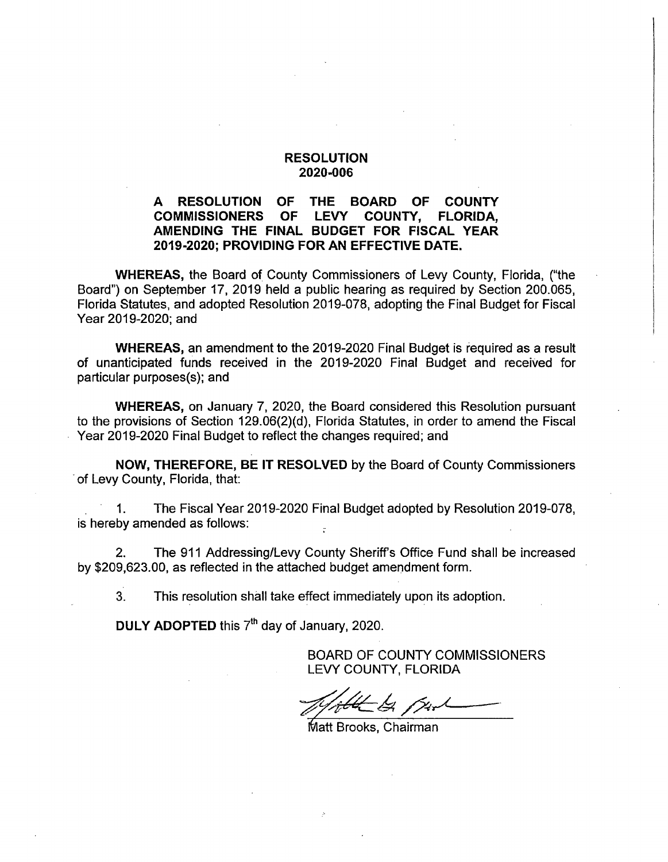#### A RESOLUTION OF THE BOARD OF COUNTY<br>COMMISSIONERS OF LEVY COUNTY, FLORIDA, **COMMISSIONERS** AMENDING THE FINAL BUDGET FOR FISCAL YEAR 2019-2020; PROVIDING FOR AN EFFECTIVE DATE.

WHEREAS, the Board of County Commissioners of Levy County, Florida, ("the Board") on September 17, 2019 held a public hearing as required by Section 200.065, Florida Statutes, and adopted Resolution 2019-078, adopting the Final Budget for Fiscal Year 2019-2020; and

WHEREAS, an amendment to the 2019-2020 Final Budget is required as a result of unanticipated funds received in the 2019-2020 Final Budget and received for particular purposes(s); and

WHEREAS, on January 7, 2020, the Board considered this Resolution pursuant to the provisions of Section 129.06(2)(d), Florida Statutes, in order to amend the Fiscal Year 2019-2020 Final Budget to reflect the changes required; and

NOW, THEREFORE, BE IT RESOLVED by the Board of County Commissioners of Levy County, Florida, that:

1. The Fiscal Year 2019-2020 Final Budget adopted by Resolution 2019-078, is hereby amended as follows:

2. The 911 Addressing/Levy County Sheriffs Office Fund shall be increased by \$209,623.00, as reflected in the attached budget amendment form.

3. This resolution shall take effect immediately upon its adoption.

DULY ADOPTED this 7<sup>th</sup> day of January, 2020.

-In But

Matt Brooks, Chairman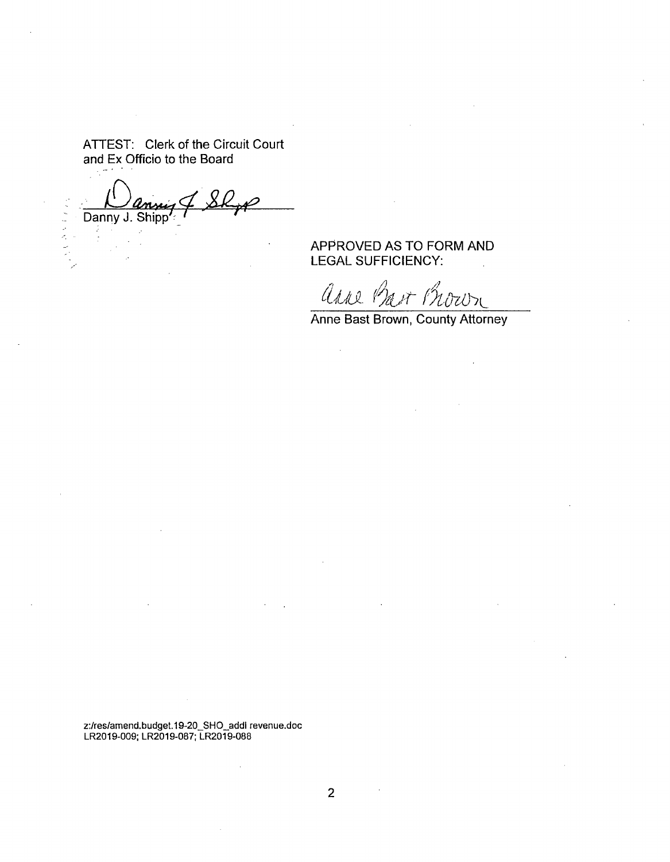Danny J. Shipp

**CARACTES** 

APPROVED AS TO FORM AND LEGAL SUFFICIENCY:

anne Bart Brown

 $\bar{z}$ 

Anne Bast Brown, County Attorney

2;/res/amend.budget.19-20\_SHO\_addl revenue.doc LR2019-009; LR2019-087; LR2019-088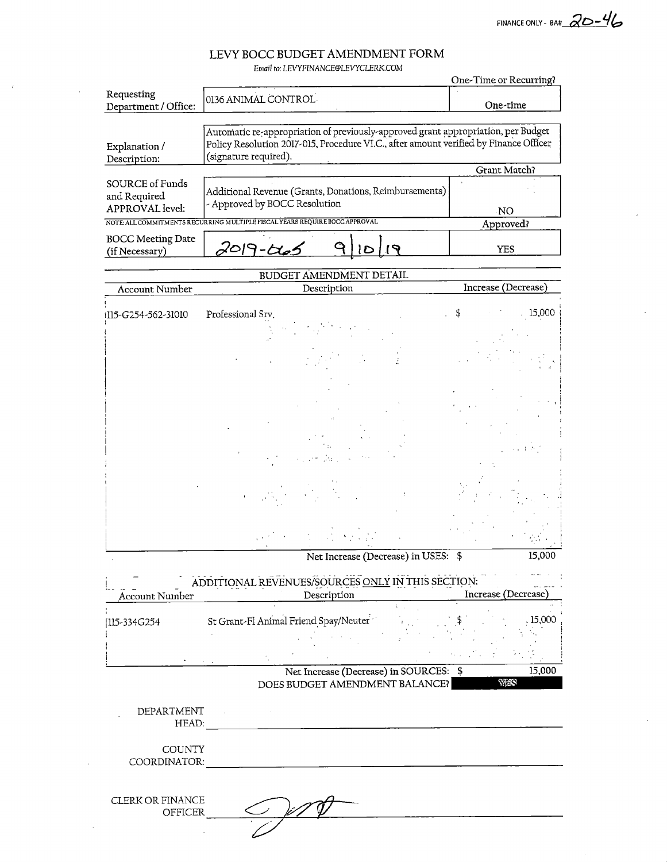FINANCE ONLY - BA#  $20-46$ 

Email to; LEVYFINANCE@LEVYCLERK,COM

|                                            |                                                                                                                                                                                                     | One-Time or Recurring? |
|--------------------------------------------|-----------------------------------------------------------------------------------------------------------------------------------------------------------------------------------------------------|------------------------|
| Requesting<br>Department / Office:         | 0136 ANIMAL CONTROL                                                                                                                                                                                 | One-time               |
|                                            |                                                                                                                                                                                                     |                        |
| Explanation /<br>Description:              | Automatic re-appropriation of previously-approved grant appropriation, per Budget<br>Policy Resolution 2017-015, Procedure VI.C., after amount verified by Finance Officer<br>(signature required). |                        |
|                                            |                                                                                                                                                                                                     | Grant Match?           |
| SOURCE of Funds<br>and Required            | Additional Revenue (Grants, Donations, Reimbursements)                                                                                                                                              |                        |
| <b>APPROVAL</b> level:                     | - Approved by BOCC Resolution                                                                                                                                                                       | -NO                    |
|                                            | NOTE ALL COMMITMENTS RECURRING MULTIPLE FISCAL YEARS REQUIRE BOCC APPROVAL                                                                                                                          | Approved?              |
| <b>BOCC Meeting Date</b><br>(if Necessary) |                                                                                                                                                                                                     | YES                    |

# BUDGET AMENDMENT DETAIL<br>Description Account Number Description Increase (Decrease) !ll5-G254-562-31010 Professional Srv, \$ . 15,000 Net Increase (Decrease) in USES: \$ 15,000

| III5-334G254 | St Grant-Fl Animal Friend Spay/Neuter | .15,000 |
|--------------|---------------------------------------|---------|
|              |                                       |         |
|              |                                       |         |

DEPARTMENT

HEAD:

**COUNTY** COORDINATOR:

| CLERK OR FINANCE<br>OFFICER | u |  |
|-----------------------------|---|--|
|                             |   |  |

<u> 1989 - John Stein, amerikansk politiker (</u>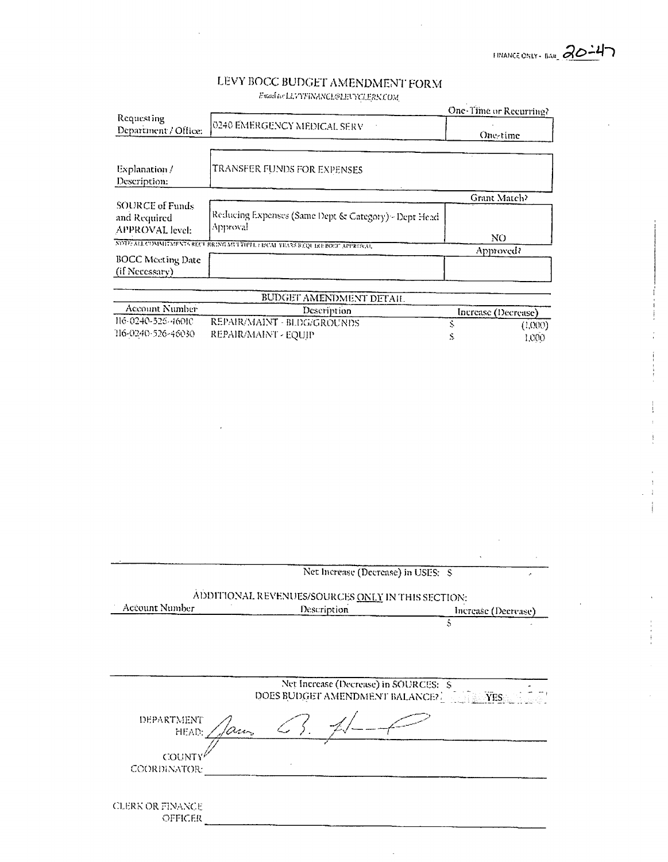IMANCE ONLY - BAR 20-47

 $\ddot{\phantom{a}}$ 

# LEVY BOCC BUDGET AMENDMENT FORM

 $\label{thm:final} \small \textit{Final}\; to \; \textit{LLVTFINANCLEBINGLERKCOM} \normalsize$ 

|                                                           |                                                                            | One-Time or Recurring? |         |
|-----------------------------------------------------------|----------------------------------------------------------------------------|------------------------|---------|
| Requesting<br>Department / Office:                        | 0240 EMERGENCY MEDICAL SERV                                                | One-time               |         |
|                                                           |                                                                            |                        |         |
| Explanation /<br>Description:                             | TRANSFER FUNDS FOR EXPENSES                                                |                        |         |
|                                                           |                                                                            | Grant Match?           |         |
| <b>SOURCE of Funds</b><br>and Required<br>APPROVAL level: | Reducing Expenses (Same Dept & Category) - Dept Head<br>Approval           |                        |         |
|                                                           | NDTE ALL COMMITMENTS RECURRENT FIFTE 1 E ISCAL YEARS REQUIRE EOCC APPROVAL | NO.                    |         |
|                                                           |                                                                            | Approved?              |         |
| <b>BOCC</b> Meeting Date<br>(if Necessary)                |                                                                            |                        |         |
|                                                           | BUDGET AMENDMENT DETAIL.                                                   |                        |         |
| Account Number                                            | Description                                                                | Increase (Decrease)    |         |
| 116-0240-525-46010                                        | REPAIR/MAINT - BLDG/GROUNDS                                                | Š.                     | (1,000) |
| 116-0240-526-46030                                        | REPAIR/MAINT - EQUIP                                                       | S                      | 1,000   |
|                                                           |                                                                            |                        |         |
|                                                           |                                                                            |                        |         |
|                                                           |                                                                            |                        |         |
|                                                           |                                                                            |                        |         |
|                                                           |                                                                            |                        |         |

|                               | Net Increase (Decrease) in USES: S<br>× |                                                   |                     |  |
|-------------------------------|-----------------------------------------|---------------------------------------------------|---------------------|--|
|                               |                                         | ADDITIONAL REVENUES/SOURCES ONLY IN THIS SECTION: |                     |  |
| Account Number                | Description                             |                                                   | Increase (Decrease) |  |
|                               |                                         | Ŝ                                                 |                     |  |
|                               |                                         |                                                   |                     |  |
|                               | DOES BUDGET AMENDMENT BALANCE?          | Net Increase (Decrease) in SOURCES: \$            | <b>THE YES</b>      |  |
| DEPARTMENT<br>HEAD:           |                                         |                                                   |                     |  |
| <b>COUNT)</b><br>COORDINATOR: |                                         |                                                   |                     |  |
|                               |                                         |                                                   |                     |  |
| CLERK OR FINANCE<br>OFFICER   |                                         |                                                   |                     |  |